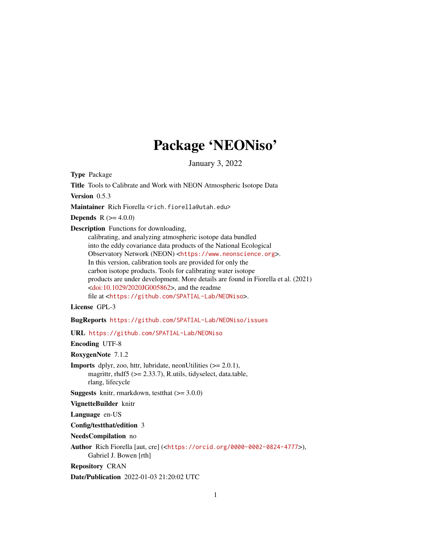# Package 'NEONiso'

January 3, 2022

Type Package

Title Tools to Calibrate and Work with NEON Atmospheric Isotope Data

Version 0.5.3

Maintainer Rich Fiorella <rich.fiorella@utah.edu>

**Depends** R  $(>= 4.0.0)$ 

Description Functions for downloading,

calibrating, and analyzing atmospheric isotope data bundled into the eddy covariance data products of the National Ecological Observatory Network (NEON) <<https://www.neonscience.org>>. In this version, calibration tools are provided for only the carbon isotope products. Tools for calibrating water isotope products are under development. More details are found in Fiorella et al. (2021)  $\langle \text{doi:10.1029/2020JG005862}\rangle$ , and the readme file at <<https://github.com/SPATIAL-Lab/NEONiso>>.

License GPL-3

BugReports <https://github.com/SPATIAL-Lab/NEONiso/issues>

URL <https://github.com/SPATIAL-Lab/NEONiso>

Encoding UTF-8

RoxygenNote 7.1.2

**Imports** dplyr, zoo, httr, lubridate, neonUtilities  $(>= 2.0.1)$ , magrittr, rhdf5 (>= 2.33.7), R.utils, tidyselect, data.table, rlang, lifecycle

**Suggests** knitr, rmarkdown, test that  $(>= 3.0.0)$ 

VignetteBuilder knitr

Language en-US

Config/testthat/edition 3

NeedsCompilation no

Author Rich Fiorella [aut, cre] (<<https://orcid.org/0000-0002-0824-4777>>), Gabriel J. Bowen [rth]

Repository CRAN

Date/Publication 2022-01-03 21:20:02 UTC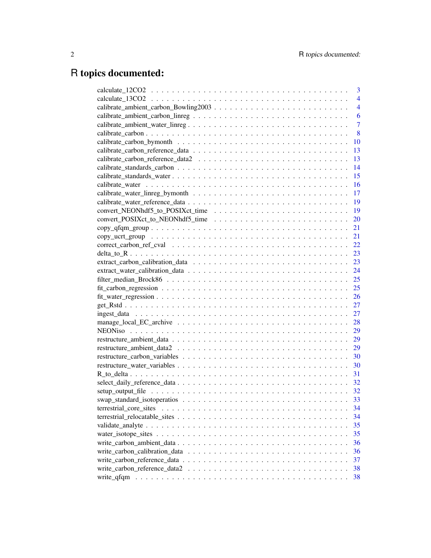## R topics documented:

|                        | 3              |
|------------------------|----------------|
|                        | $\overline{4}$ |
|                        | $\overline{4}$ |
|                        | 6              |
|                        | $\overline{7}$ |
|                        | 8              |
|                        | 10             |
|                        | 13             |
|                        | 13             |
|                        | 14             |
|                        | 15             |
|                        | 16             |
|                        | 17             |
|                        | 19             |
|                        | 19             |
|                        | 20             |
|                        | 21             |
|                        | 21             |
|                        | 22             |
|                        | 23             |
|                        | 23             |
|                        | 24             |
|                        | 25             |
|                        | 25             |
|                        | 26             |
|                        | 27             |
|                        | 27             |
|                        | 28             |
|                        | 29             |
|                        | 29             |
|                        | 29             |
|                        |                |
|                        |                |
|                        | 31             |
|                        | 32             |
|                        |                |
|                        |                |
| terrestrial_core_sites | 34             |
|                        | 34             |
|                        | 35             |
|                        | 35             |
|                        | 36             |
|                        | 36             |
|                        | 37             |
|                        | 38             |
|                        | 38             |
|                        |                |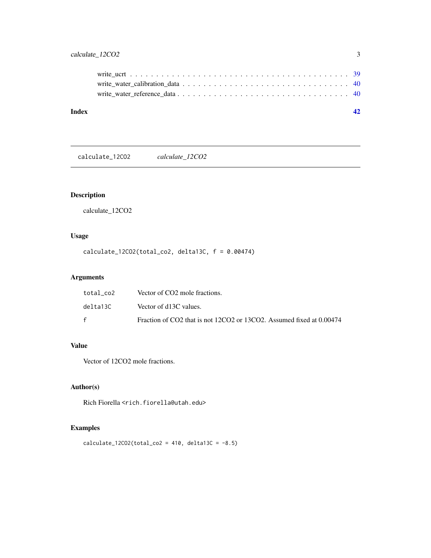<span id="page-2-0"></span>

calculate\_12CO2 *calculate\_12CO2*

## Description

calculate\_12CO2

## Usage

calculate\_12CO2(total\_co2, delta13C, f = 0.00474)

## Arguments

| total co2 | Vector of CO2 mole fractions.                                        |
|-----------|----------------------------------------------------------------------|
| delta13C  | Vector of d13C values.                                               |
| f         | Fraction of CO2 that is not 12CO2 or 13CO2. Assumed fixed at 0.00474 |

## Value

Vector of 12CO2 mole fractions.

## Author(s)

Rich Fiorella <rich.fiorella@utah.edu>

## Examples

```
calcutate_12CO2(total_co2 = 410, delta13C = -8.5)
```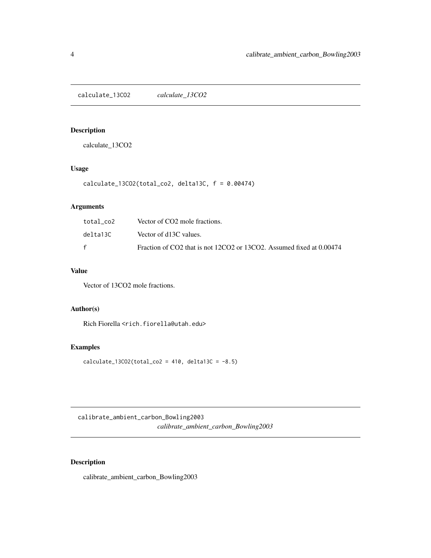<span id="page-3-0"></span>calculate\_13CO2 *calculate\_13CO2*

## Description

calculate\_13CO2

## Usage

```
calculate_13CO2(total_co2, delta13C, f = 0.00474)
```
## Arguments

| total co2 | Vector of CO2 mole fractions.                                        |
|-----------|----------------------------------------------------------------------|
| delta13C  | Vector of d13C values.                                               |
| f         | Fraction of CO2 that is not 12CO2 or 13CO2. Assumed fixed at 0.00474 |

## Value

Vector of 13CO2 mole fractions.

## Author(s)

Rich Fiorella <rich.fiorella@utah.edu>

## Examples

 $calcutate_13CO2(total_co2 = 410, delta13C = -8.5)$ 

calibrate\_ambient\_carbon\_Bowling2003 *calibrate\_ambient\_carbon\_Bowling2003*

## Description

calibrate\_ambient\_carbon\_Bowling2003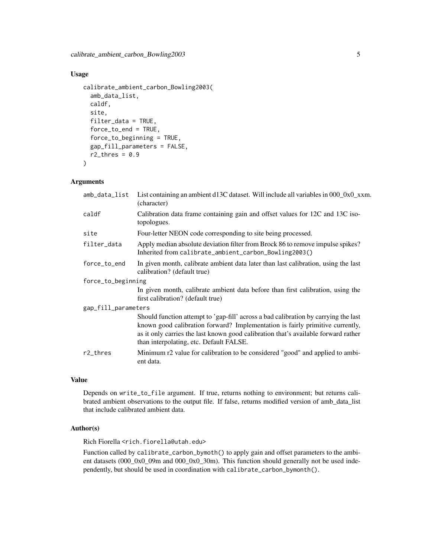## Usage

```
calibrate_ambient_carbon_Bowling2003(
  amb_data_list,
  caldf,
  site,
  filter_data = TRUE,
  force_to_end = TRUE,
  force_to_beginning = TRUE,
  gap_fill_parameters = FALSE,
  r2_\text{thres} = 0.9\mathcal{L}
```
#### Arguments

| amb_data_list       | List containing an ambient $d13C$ dataset. Will include all variables in $0000C \times x$ m.<br>(character)                                                                                                                                                                                           |  |
|---------------------|-------------------------------------------------------------------------------------------------------------------------------------------------------------------------------------------------------------------------------------------------------------------------------------------------------|--|
| caldf               | Calibration data frame containing gain and offset values for 12C and 13C iso-<br>topologues.                                                                                                                                                                                                          |  |
| site                | Four-letter NEON code corresponding to site being processed.                                                                                                                                                                                                                                          |  |
| filter_data         | Apply median absolute deviation filter from Brock 86 to remove impulse spikes?<br>Inherited from calibrate_ambient_carbon_Bowling2003()                                                                                                                                                               |  |
| force_to_end        | In given month, calibrate ambient data later than last calibration, using the last<br>calibration? (default true)                                                                                                                                                                                     |  |
| force_to_beginning  |                                                                                                                                                                                                                                                                                                       |  |
|                     | In given month, calibrate ambient data before than first calibration, using the<br>first calibration? (default true)                                                                                                                                                                                  |  |
| gap_fill_parameters |                                                                                                                                                                                                                                                                                                       |  |
|                     | Should function attempt to 'gap-fill' across a bad calibration by carrying the last<br>known good calibration forward? Implementation is fairly primitive currently,<br>as it only carries the last known good calibration that's available forward rather<br>than interpolating, etc. Default FALSE. |  |
| $r2$ _thres         | Minimum r2 value for calibration to be considered "good" and applied to ambi-<br>ent data.                                                                                                                                                                                                            |  |
|                     |                                                                                                                                                                                                                                                                                                       |  |

## Value

Depends on write\_to\_file argument. If true, returns nothing to environment; but returns calibrated ambient observations to the output file. If false, returns modified version of amb\_data\_list that include calibrated ambient data.

## Author(s)

Rich Fiorella <rich.fiorella@utah.edu>

Function called by calibrate\_carbon\_bymoth() to apply gain and offset parameters to the ambient datasets (000\_0x0\_09m and 000\_0x0\_30m). This function should generally not be used independently, but should be used in coordination with calibrate\_carbon\_bymonth().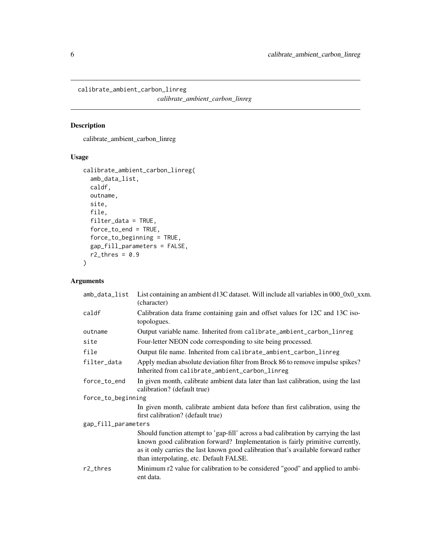<span id="page-5-0"></span>calibrate\_ambient\_carbon\_linreg *calibrate\_ambient\_carbon\_linreg*

## Description

calibrate\_ambient\_carbon\_linreg

## Usage

```
calibrate_ambient_carbon_linreg(
  amb_data_list,
 caldf,
 outname,
 site,
  file,
  filter_data = TRUE,
 force_to_end = TRUE,
  force_to_beginning = TRUE,
 gap_fill_parameters = FALSE,
  r2_\text{thres} = 0.9)
```

| amb_data_list       | List containing an ambient d13C dataset. Will include all variables in 000_0x0_xxm.<br>(character)                                                                                                                                                                                                    |  |
|---------------------|-------------------------------------------------------------------------------------------------------------------------------------------------------------------------------------------------------------------------------------------------------------------------------------------------------|--|
| caldf               | Calibration data frame containing gain and offset values for 12C and 13C iso-<br>topologues.                                                                                                                                                                                                          |  |
| outname             | Output variable name. Inherited from calibrate_ambient_carbon_linreg                                                                                                                                                                                                                                  |  |
| site                | Four-letter NEON code corresponding to site being processed.                                                                                                                                                                                                                                          |  |
| file                | Output file name. Inherited from calibrate_ambient_carbon_linreg                                                                                                                                                                                                                                      |  |
| filter_data         | Apply median absolute deviation filter from Brock 86 to remove impulse spikes?<br>Inherited from calibrate_ambient_carbon_linreg                                                                                                                                                                      |  |
| force_to_end        | In given month, calibrate ambient data later than last calibration, using the last<br>calibration? (default true)                                                                                                                                                                                     |  |
| force_to_beginning  |                                                                                                                                                                                                                                                                                                       |  |
|                     | In given month, calibrate ambient data before than first calibration, using the<br>first calibration? (default true)                                                                                                                                                                                  |  |
| gap_fill_parameters |                                                                                                                                                                                                                                                                                                       |  |
|                     | Should function attempt to 'gap-fill' across a bad calibration by carrying the last<br>known good calibration forward? Implementation is fairly primitive currently,<br>as it only carries the last known good calibration that's available forward rather<br>than interpolating, etc. Default FALSE. |  |
| $r2$ _thres         | Minimum r2 value for calibration to be considered "good" and applied to ambi-<br>ent data.                                                                                                                                                                                                            |  |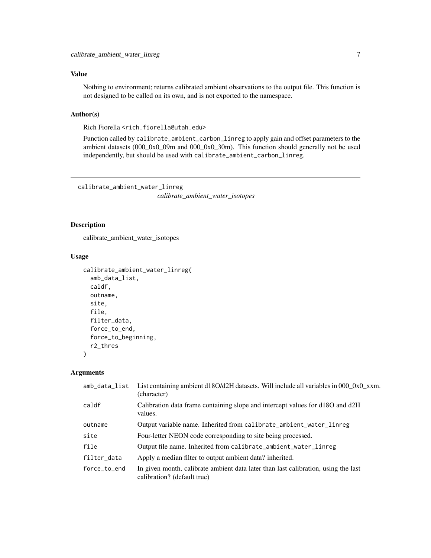## <span id="page-6-0"></span>Value

Nothing to environment; returns calibrated ambient observations to the output file. This function is not designed to be called on its own, and is not exported to the namespace.

## Author(s)

Rich Fiorella <rich.fiorella@utah.edu>

Function called by calibrate\_ambient\_carbon\_linreg to apply gain and offset parameters to the ambient datasets  $(000_0x_0.09m$  and  $(000_0x_0.030m)$ . This function should generally not be used independently, but should be used with calibrate\_ambient\_carbon\_linreg.

calibrate\_ambient\_water\_linreg *calibrate\_ambient\_water\_isotopes*

## Description

calibrate\_ambient\_water\_isotopes

#### Usage

```
calibrate_ambient_water_linreg(
  amb_data_list,
  caldf,
  outname,
  site,
  file,
  filter_data,
  force_to_end,
  force_to_beginning,
  r2_thres
)
```

| amb_data_list | List containing ambient d18O/d2H datasets. Will include all variables in 000_0x0_xxm.<br>(character)              |
|---------------|-------------------------------------------------------------------------------------------------------------------|
| caldf         | Calibration data frame containing slope and intercept values for d18O and d2H<br>values.                          |
| outname       | Output variable name. Inherited from calibrate_ambient_water_linreg                                               |
| site          | Four-letter NEON code corresponding to site being processed.                                                      |
| file          | Output file name. Inherited from calibrate_ambient_water_linreg                                                   |
| filter_data   | Apply a median filter to output ambient data? inherited.                                                          |
| force_to_end  | In given month, calibrate ambient data later than last calibration, using the last<br>calibration? (default true) |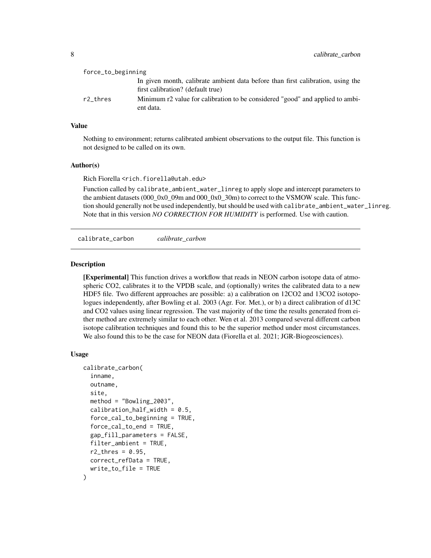<span id="page-7-0"></span>

| force_to_beginning |                                                                                                                      |
|--------------------|----------------------------------------------------------------------------------------------------------------------|
|                    | In given month, calibrate ambient data before than first calibration, using the<br>first calibration? (default true) |
| r2 thres           | Minimum r2 value for calibration to be considered "good" and applied to ambi-<br>ent data.                           |

#### Value

Nothing to environment; returns calibrated ambient observations to the output file. This function is not designed to be called on its own.

#### Author(s)

Rich Fiorella <rich.fiorella@utah.edu>

Function called by calibrate\_ambient\_water\_linreg to apply slope and intercept parameters to the ambient datasets (000\_0x0\_09m and 000\_0x0\_30m) to correct to the VSMOW scale. This function should generally not be used independently, but should be used with calibrate\_ambient\_water\_linreg. Note that in this version *NO CORRECTION FOR HUMIDITY* is performed. Use with caution.

calibrate\_carbon *calibrate\_carbon*

#### Description

[Experimental] This function drives a workflow that reads in NEON carbon isotope data of atmospheric CO2, calibrates it to the VPDB scale, and (optionally) writes the calibrated data to a new HDF5 file. Two different approaches are possible: a) a calibration on 12CO2 and 13CO2 isotopologues independently, after Bowling et al. 2003 (Agr. For. Met.), or b) a direct calibration of d13C and CO2 values using linear regression. The vast majority of the time the results generated from either method are extremely similar to each other. Wen et al. 2013 compared several different carbon isotope calibration techniques and found this to be the superior method under most circumstances. We also found this to be the case for NEON data (Fiorella et al. 2021; JGR-Biogeosciences).

#### Usage

```
calibrate_carbon(
  inname,
  outname,
  site,
  method = "Bowling_2003",
  calibration\_half\_width = 0.5,
  force_cal_to_beginning = TRUE,
  force_cal_to_end = TRUE,
  gap_fill_parameters = FALSE,
  filter_ambient = TRUE,
  r2_\text{thres} = 0.95,
  correct_refData = TRUE,
  write_to_file = TRUE
)
```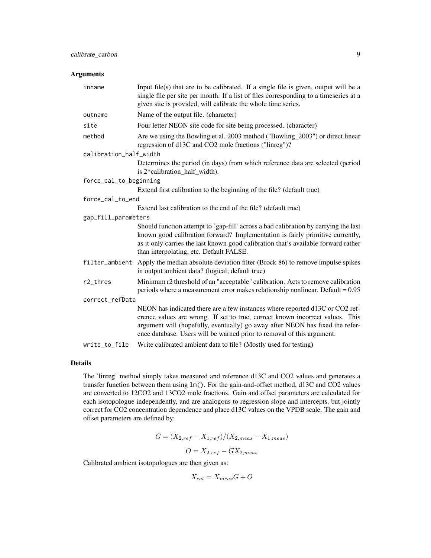#### Arguments

| inname                 | Input file(s) that are to be calibrated. If a single file is given, output will be a<br>single file per site per month. If a list of files corresponding to a timeseries at a<br>given site is provided, will calibrate the whole time series.                                                                           |
|------------------------|--------------------------------------------------------------------------------------------------------------------------------------------------------------------------------------------------------------------------------------------------------------------------------------------------------------------------|
| outname                | Name of the output file. (character)                                                                                                                                                                                                                                                                                     |
| site                   | Four letter NEON site code for site being processed. (character)                                                                                                                                                                                                                                                         |
| method                 | Are we using the Bowling et al. 2003 method ("Bowling_2003") or direct linear<br>regression of d13C and CO2 mole fractions ("linreg")?                                                                                                                                                                                   |
| calibration_half_width |                                                                                                                                                                                                                                                                                                                          |
|                        | Determines the period (in days) from which reference data are selected (period<br>is 2*calibration_half_width).                                                                                                                                                                                                          |
| force_cal_to_beginning |                                                                                                                                                                                                                                                                                                                          |
|                        | Extend first calibration to the beginning of the file? (default true)                                                                                                                                                                                                                                                    |
| force_cal_to_end       |                                                                                                                                                                                                                                                                                                                          |
|                        | Extend last calibration to the end of the file? (default true)                                                                                                                                                                                                                                                           |
| gap_fill_parameters    |                                                                                                                                                                                                                                                                                                                          |
|                        | Should function attempt to 'gap-fill' across a bad calibration by carrying the last<br>known good calibration forward? Implementation is fairly primitive currently,<br>as it only carries the last known good calibration that's available forward rather<br>than interpolating, etc. Default FALSE.                    |
| filter_ambient         | Apply the median absolute deviation filter (Brock 86) to remove impulse spikes<br>in output ambient data? (logical; default true)                                                                                                                                                                                        |
| r2_thres               | Minimum r2 threshold of an "acceptable" calibration. Acts to remove calibration<br>periods where a measurement error makes relationship nonlinear. Default = $0.95$                                                                                                                                                      |
| correct_refData        |                                                                                                                                                                                                                                                                                                                          |
|                        | NEON has indicated there are a few instances where reported d13C or CO2 ref-<br>erence values are wrong. If set to true, correct known incorrect values. This<br>argument will (hopefully, eventually) go away after NEON has fixed the refer-<br>ence database. Users will be warned prior to removal of this argument. |
| write_to_file          | Write calibrated ambient data to file? (Mostly used for testing)                                                                                                                                                                                                                                                         |

## Details

The 'linreg' method simply takes measured and reference d13C and CO2 values and generates a transfer function between them using lm(). For the gain-and-offset method, d13C and CO2 values are converted to 12CO2 and 13CO2 mole fractions. Gain and offset parameters are calculated for each isotopologue independently, and are analogous to regression slope and intercepts, but jointly correct for CO2 concentration dependence and place d13C values on the VPDB scale. The gain and offset parameters are defined by:

$$
G = (X_{2,ref} - X_{1,ref})/(X_{2,meas} - X_{1,meas})
$$
  

$$
O = X_{2,ref} - GX_{2,meas}
$$

Calibrated ambient isotopologues are then given as:

$$
X_{cal} = X_{meas}G + O
$$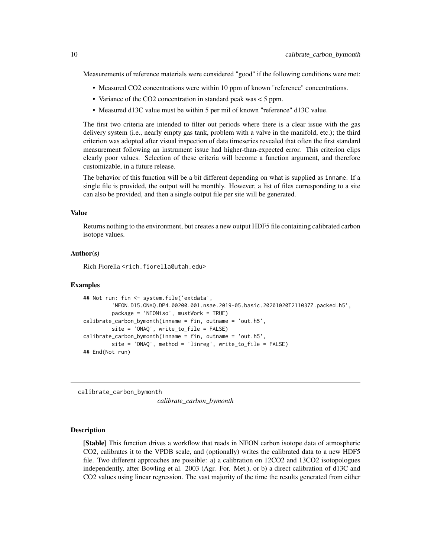<span id="page-9-0"></span>Measurements of reference materials were considered "good" if the following conditions were met:

- Measured CO2 concentrations were within 10 ppm of known "reference" concentrations.
- Variance of the CO2 concentration in standard peak was < 5 ppm.
- Measured d13C value must be within 5 per mil of known "reference" d13C value.

The first two criteria are intended to filter out periods where there is a clear issue with the gas delivery system (i.e., nearly empty gas tank, problem with a valve in the manifold, etc.); the third criterion was adopted after visual inspection of data timeseries revealed that often the first standard measurement following an instrument issue had higher-than-expected error. This criterion clips clearly poor values. Selection of these criteria will become a function argument, and therefore customizable, in a future release.

The behavior of this function will be a bit different depending on what is supplied as inname. If a single file is provided, the output will be monthly. However, a list of files corresponding to a site can also be provided, and then a single output file per site will be generated.

#### Value

Returns nothing to the environment, but creates a new output HDF5 file containing calibrated carbon isotope values.

#### Author(s)

Rich Fiorella <rich.fiorella@utah.edu>

#### Examples

```
## Not run: fin <- system.file('extdata',
         'NEON.D15.ONAQ.DP4.00200.001.nsae.2019-05.basic.20201020T211037Z.packed.h5',
         package = 'NEONiso', mustWork = TRUE)
calibrate_carbon_bymonth(inname = fin, outname = 'out.h5',
         site = 'ONAQ', write_to_file = FALSE)
calibrate_carbon_bymonth(inname = fin, outname = 'out.h5',
         site = 'ONAQ', method = 'linreg', write_to_file = FALSE)
## End(Not run)
```
calibrate\_carbon\_bymonth

*calibrate\_carbon\_bymonth*

#### Description

[Stable] This function drives a workflow that reads in NEON carbon isotope data of atmospheric CO2, calibrates it to the VPDB scale, and (optionally) writes the calibrated data to a new HDF5 file. Two different approaches are possible: a) a calibration on 12CO2 and 13CO2 isotopologues independently, after Bowling et al. 2003 (Agr. For. Met.), or b) a direct calibration of d13C and CO2 values using linear regression. The vast majority of the time the results generated from either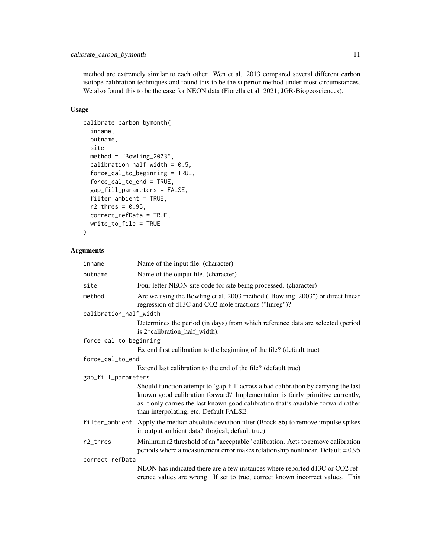method are extremely similar to each other. Wen et al. 2013 compared several different carbon isotope calibration techniques and found this to be the superior method under most circumstances. We also found this to be the case for NEON data (Fiorella et al. 2021; JGR-Biogeosciences).

#### Usage

```
calibrate_carbon_bymonth(
  inname,
  outname,
  site,
  method = "Bowling_2003",
  calibration_half_width = 0.5,
  force_cal_to_beginning = TRUE,
  force_cal_to_end = TRUE,
  gap_fill_parameters = FALSE,
  filter_ambient = TRUE,
  r2_\text{thres} = 0.95,
  correct_refData = TRUE,
  write_to_file = TRUE
)
```

| inname                 | Name of the input file. (character)                                                                                                                                                                                                                                                                   |
|------------------------|-------------------------------------------------------------------------------------------------------------------------------------------------------------------------------------------------------------------------------------------------------------------------------------------------------|
| outname                | Name of the output file. (character)                                                                                                                                                                                                                                                                  |
| site                   | Four letter NEON site code for site being processed. (character)                                                                                                                                                                                                                                      |
| method                 | Are we using the Bowling et al. 2003 method ("Bowling_2003") or direct linear<br>regression of d13C and CO2 mole fractions ("linreg")?                                                                                                                                                                |
| calibration_half_width |                                                                                                                                                                                                                                                                                                       |
|                        | Determines the period (in days) from which reference data are selected (period<br>is 2*calibration_half_width).                                                                                                                                                                                       |
| force_cal_to_beginning |                                                                                                                                                                                                                                                                                                       |
|                        | Extend first calibration to the beginning of the file? (default true)                                                                                                                                                                                                                                 |
| force_cal_to_end       |                                                                                                                                                                                                                                                                                                       |
|                        | Extend last calibration to the end of the file? (default true)                                                                                                                                                                                                                                        |
| gap_fill_parameters    |                                                                                                                                                                                                                                                                                                       |
|                        | Should function attempt to 'gap-fill' across a bad calibration by carrying the last<br>known good calibration forward? Implementation is fairly primitive currently,<br>as it only carries the last known good calibration that's available forward rather<br>than interpolating, etc. Default FALSE. |
|                        | filter_ambient Apply the median absolute deviation filter (Brock 86) to remove impulse spikes<br>in output ambient data? (logical; default true)                                                                                                                                                      |
| $r2$ _thres            | Minimum r2 threshold of an "acceptable" calibration. Acts to remove calibration<br>periods where a measurement error makes relationship nonlinear. Default = $0.95$                                                                                                                                   |
| correct_refData        |                                                                                                                                                                                                                                                                                                       |
|                        | NEON has indicated there are a few instances where reported d13C or CO2 ref-<br>erence values are wrong. If set to true, correct known incorrect values. This                                                                                                                                         |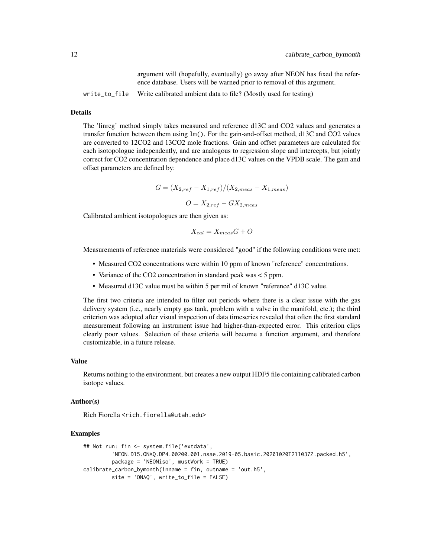argument will (hopefully, eventually) go away after NEON has fixed the reference database. Users will be warned prior to removal of this argument.

write\_to\_file Write calibrated ambient data to file? (Mostly used for testing)

#### Details

The 'linreg' method simply takes measured and reference d13C and CO2 values and generates a transfer function between them using lm(). For the gain-and-offset method, d13C and CO2 values are converted to 12CO2 and 13CO2 mole fractions. Gain and offset parameters are calculated for each isotopologue independently, and are analogous to regression slope and intercepts, but jointly correct for CO2 concentration dependence and place d13C values on the VPDB scale. The gain and offset parameters are defined by:

$$
G = (X_{2,ref} - X_{1,ref})/(X_{2,meas} - X_{1,meas})
$$

$$
O = X_{2,ref} - GX_{2,meas}
$$

Calibrated ambient isotopologues are then given as:

$$
X_{cal} = X_{meas}G + O
$$

Measurements of reference materials were considered "good" if the following conditions were met:

- Measured CO2 concentrations were within 10 ppm of known "reference" concentrations.
- Variance of the CO2 concentration in standard peak was < 5 ppm.
- Measured d13C value must be within 5 per mil of known "reference" d13C value.

The first two criteria are intended to filter out periods where there is a clear issue with the gas delivery system (i.e., nearly empty gas tank, problem with a valve in the manifold, etc.); the third criterion was adopted after visual inspection of data timeseries revealed that often the first standard measurement following an instrument issue had higher-than-expected error. This criterion clips clearly poor values. Selection of these criteria will become a function argument, and therefore customizable, in a future release.

#### Value

Returns nothing to the environment, but creates a new output HDF5 file containing calibrated carbon isotope values.

#### Author(s)

Rich Fiorella <rich.fiorella@utah.edu>

#### Examples

```
## Not run: fin <- system.file('extdata',
         'NEON.D15.ONAQ.DP4.00200.001.nsae.2019-05.basic.20201020T211037Z.packed.h5',
        package = 'NEONiso', mustWork = TRUE)
calibrate_carbon_bymonth(inname = fin, outname = 'out.h5',
        site = 'ONAQ', write_to_file = FALSE)
```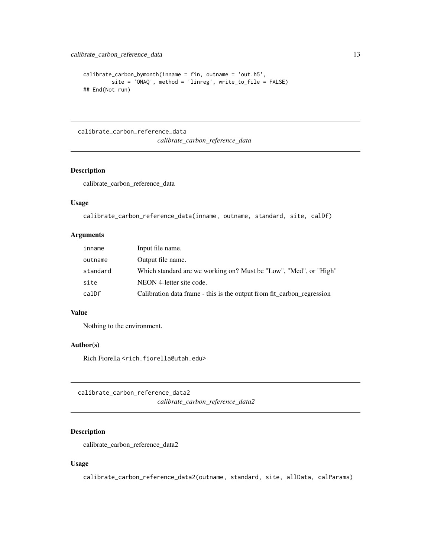```
calibrate_carbon_bymonth(inname = fin, outname = 'out.h5',
         site = 'ONAQ', method = 'linreg', write_to_file = FALSE)
## End(Not run)
```
calibrate\_carbon\_reference\_data *calibrate\_carbon\_reference\_data*

## Description

calibrate\_carbon\_reference\_data

#### Usage

```
calibrate_carbon_reference_data(inname, outname, standard, site, calDf)
```
#### Arguments

| inname   | Input file name.                                                       |
|----------|------------------------------------------------------------------------|
| outname  | Output file name.                                                      |
| standard | Which standard are we working on? Must be "Low", "Med", or "High"      |
| site     | NEON 4-letter site code.                                               |
| calDf    | Calibration data frame - this is the output from fit carbon regression |
|          |                                                                        |

#### Value

Nothing to the environment.

## Author(s)

Rich Fiorella <rich.fiorella@utah.edu>

calibrate\_carbon\_reference\_data2 *calibrate\_carbon\_reference\_data2*

## Description

calibrate\_carbon\_reference\_data2

#### Usage

calibrate\_carbon\_reference\_data2(outname, standard, site, allData, calParams)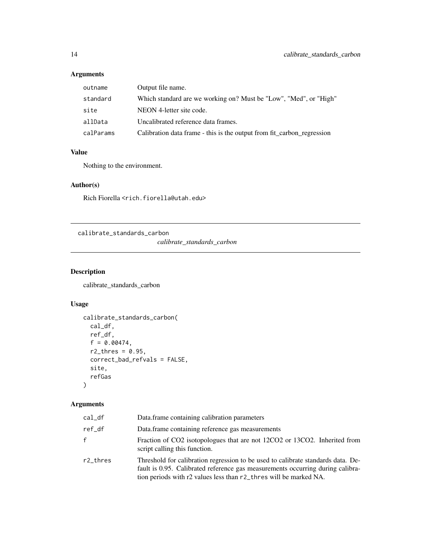## <span id="page-13-0"></span>Arguments

| outname   | Output file name.                                                      |
|-----------|------------------------------------------------------------------------|
| standard  | Which standard are we working on? Must be "Low", "Med", or "High"      |
| site      | NEON 4-letter site code.                                               |
| allData   | Uncalibrated reference data frames.                                    |
| calParams | Calibration data frame - this is the output from fit_carbon_regression |

## Value

Nothing to the environment.

## Author(s)

Rich Fiorella <rich.fiorella@utah.edu>

calibrate\_standards\_carbon

*calibrate\_standards\_carbon*

## Description

calibrate\_standards\_carbon

## Usage

```
calibrate_standards_carbon(
 cal_df,
 ref_df,
 f = 0.00474,r2_\text{thres} = 0.95,
 correct_bad_refvals = FALSE,
 site,
 refGas
)
```

| cal_df   | Data.frame containing calibration parameters                                                                                                                                                                                            |
|----------|-----------------------------------------------------------------------------------------------------------------------------------------------------------------------------------------------------------------------------------------|
| ref df   | Data.frame containing reference gas measurements                                                                                                                                                                                        |
| f        | Fraction of CO2 isotopologues that are not 12CO2 or 13CO2. Inherited from<br>script calling this function.                                                                                                                              |
| r2 thres | Threshold for calibration regression to be used to calibrate standards data. De-<br>fault is 0.95. Calibrated reference gas measurements occurring during calibra-<br>tion periods with r2 values less than r2_thres will be marked NA. |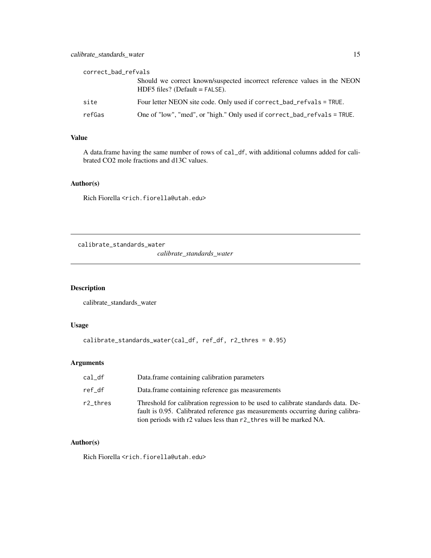## <span id="page-14-0"></span>calibrate\_standards\_water 15

| correct_bad_refvals |                                                                                                              |  |
|---------------------|--------------------------------------------------------------------------------------------------------------|--|
|                     | Should we correct known/suspected incorrect reference values in the NEON<br>$HDF5$ files? (Default = FALSE). |  |
| site                | Four letter NEON site code. Only used if correct_bad_refvals = TRUE.                                         |  |
| refGas              | One of "low", "med", or "high." Only used if correct_bad_refvals = TRUE.                                     |  |

## Value

A data.frame having the same number of rows of cal\_df, with additional columns added for calibrated CO2 mole fractions and d13C values.

## Author(s)

Rich Fiorella <rich.fiorella@utah.edu>

calibrate\_standards\_water

*calibrate\_standards\_water*

## Description

calibrate\_standards\_water

## Usage

```
calibrate_standards_water(cal_df, ref_df, r2_thres = 0.95)
```
## Arguments

| $cal_d$  | Data. frame containing calibration parameters                                                                                                                                                                                           |
|----------|-----------------------------------------------------------------------------------------------------------------------------------------------------------------------------------------------------------------------------------------|
| ref df   | Data.frame containing reference gas measurements                                                                                                                                                                                        |
| r2_thres | Threshold for calibration regression to be used to calibrate standards data. De-<br>fault is 0.95. Calibrated reference gas measurements occurring during calibra-<br>tion periods with r2 values less than r2_thres will be marked NA. |

#### Author(s)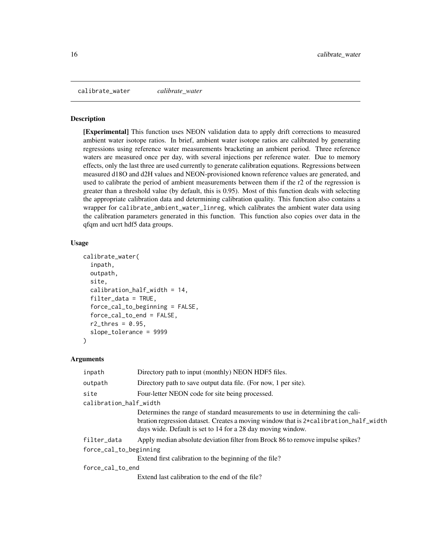<span id="page-15-0"></span>calibrate\_water *calibrate\_water*

#### Description

[Experimental] This function uses NEON validation data to apply drift corrections to measured ambient water isotope ratios. In brief, ambient water isotope ratios are calibrated by generating regressions using reference water measurements bracketing an ambient period. Three reference waters are measured once per day, with several injections per reference water. Due to memory effects, only the last three are used currently to generate calibration equations. Regressions between measured d18O and d2H values and NEON-provisioned known reference values are generated, and used to calibrate the period of ambient measurements between them if the r2 of the regression is greater than a threshold value (by default, this is 0.95). Most of this function deals with selecting the appropriate calibration data and determining calibration quality. This function also contains a wrapper for calibrate\_ambient\_water\_linreg, which calibrates the ambient water data using the calibration parameters generated in this function. This function also copies over data in the qfqm and ucrt hdf5 data groups.

## Usage

```
calibrate_water(
  inpath,
  outpath,
  site,
  calibration_half_width = 14,
  filter_data = TRUE,
  force_cal_to_beginning = FALSE,
  force_cal_to_end = FALSE,
  r2_\text{thres} = 0.95,
  slope_tolerance = 9999
)
```

| inpath                 | Directory path to input (monthly) NEON HDF5 files.                                                                                                                                                                                   |
|------------------------|--------------------------------------------------------------------------------------------------------------------------------------------------------------------------------------------------------------------------------------|
| outpath                | Directory path to save output data file. (For now, 1 per site).                                                                                                                                                                      |
| site                   | Four-letter NEON code for site being processed.                                                                                                                                                                                      |
| calibration_half_width |                                                                                                                                                                                                                                      |
|                        | Determines the range of standard measurements to use in determining the cali-<br>bration regression dataset. Creates a moving window that is 2*calibration_half_width<br>days wide. Default is set to 14 for a 28 day moving window. |
| filter_data            | Apply median absolute deviation filter from Brock 86 to remove impulse spikes?                                                                                                                                                       |
| force_cal_to_beginning |                                                                                                                                                                                                                                      |
|                        | Extend first calibration to the beginning of the file?                                                                                                                                                                               |
| force_cal_to_end       |                                                                                                                                                                                                                                      |
|                        | Extend last calibration to the end of the file?                                                                                                                                                                                      |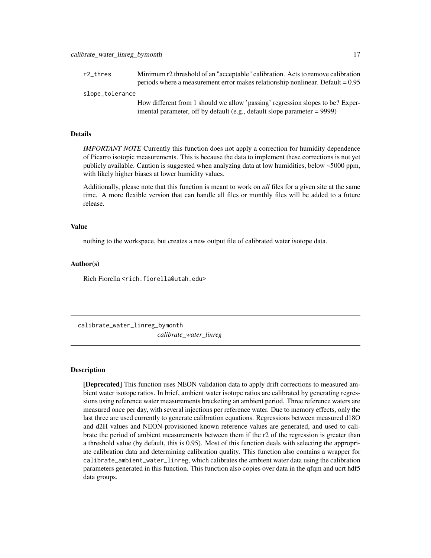<span id="page-16-0"></span>r2\_thres Minimum r2 threshold of an "acceptable" calibration. Acts to remove calibration periods where a measurement error makes relationship nonlinear. Default =  $0.95$ 

slope\_tolerance

How different from 1 should we allow 'passing' regression slopes to be? Experimental parameter, off by default (e.g., default slope parameter = 9999)

#### Details

*IMPORTANT NOTE* Currently this function does not apply a correction for humidity dependence of Picarro isotopic measurements. This is because the data to implement these corrections is not yet publicly available. Caution is suggested when analyzing data at low humidities, below ~5000 ppm, with likely higher biases at lower humidity values.

Additionally, please note that this function is meant to work on *all* files for a given site at the same time. A more flexible version that can handle all files or monthly files will be added to a future release.

#### Value

nothing to the workspace, but creates a new output file of calibrated water isotope data.

#### Author(s)

Rich Fiorella <rich.fiorella@utah.edu>

calibrate\_water\_linreg\_bymonth *calibrate\_water\_linreg*

#### Description

[Deprecated] This function uses NEON validation data to apply drift corrections to measured ambient water isotope ratios. In brief, ambient water isotope ratios are calibrated by generating regressions using reference water measurements bracketing an ambient period. Three reference waters are measured once per day, with several injections per reference water. Due to memory effects, only the last three are used currently to generate calibration equations. Regressions between measured d18O and d2H values and NEON-provisioned known reference values are generated, and used to calibrate the period of ambient measurements between them if the r2 of the regression is greater than a threshold value (by default, this is 0.95). Most of this function deals with selecting the appropriate calibration data and determining calibration quality. This function also contains a wrapper for calibrate\_ambient\_water\_linreg, which calibrates the ambient water data using the calibration parameters generated in this function. This function also copies over data in the qfqm and ucrt hdf5 data groups.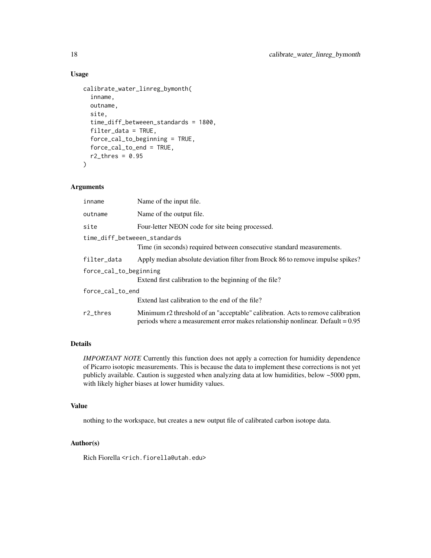## Usage

```
calibrate_water_linreg_bymonth(
  inname,
  outname,
  site,
  time_diff_betweeen_standards = 1800,
  filter_data = TRUE,
  force_cal_to_beginning = TRUE,
  force_cal_to_end = TRUE,
  r2_\text{thres} = 0.95)
```
#### Arguments

| inname                       | Name of the input file.                                                                                                                                             |
|------------------------------|---------------------------------------------------------------------------------------------------------------------------------------------------------------------|
| outname                      | Name of the output file.                                                                                                                                            |
| site                         | Four-letter NEON code for site being processed.                                                                                                                     |
| time_diff_betweeen_standards |                                                                                                                                                                     |
|                              | Time (in seconds) required between consecutive standard measurements.                                                                                               |
| filter_data                  | Apply median absolute deviation filter from Brock 86 to remove impulse spikes?                                                                                      |
| force_cal_to_beginning       |                                                                                                                                                                     |
|                              | Extend first calibration to the beginning of the file?                                                                                                              |
| force_cal_to_end             |                                                                                                                                                                     |
|                              | Extend last calibration to the end of the file?                                                                                                                     |
| $r2$ _thres                  | Minimum r2 threshold of an "acceptable" calibration. Acts to remove calibration<br>periods where a measurement error makes relationship nonlinear. Default $= 0.95$ |

#### Details

*IMPORTANT NOTE* Currently this function does not apply a correction for humidity dependence of Picarro isotopic measurements. This is because the data to implement these corrections is not yet publicly available. Caution is suggested when analyzing data at low humidities, below ~5000 ppm, with likely higher biases at lower humidity values.

#### Value

nothing to the workspace, but creates a new output file of calibrated carbon isotope data.

#### Author(s)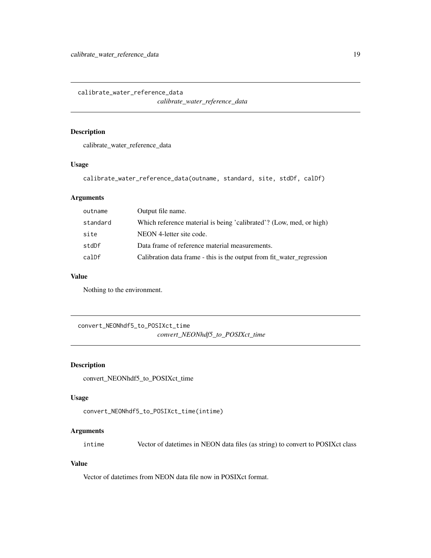<span id="page-18-0"></span>calibrate\_water\_reference\_data

*calibrate\_water\_reference\_data*

#### Description

calibrate\_water\_reference\_data

#### Usage

calibrate\_water\_reference\_data(outname, standard, site, stdDf, calDf)

## Arguments

| Output file name.                                                     |
|-----------------------------------------------------------------------|
| Which reference material is being 'calibrated'? (Low, med, or high)   |
| NEON 4-letter site code.                                              |
| Data frame of reference material measurements.                        |
| Calibration data frame - this is the output from fit water regression |
|                                                                       |

## Value

Nothing to the environment.

convert\_NEONhdf5\_to\_POSIXct\_time *convert\_NEONhdf5\_to\_POSIXct\_time*

## Description

convert\_NEONhdf5\_to\_POSIXct\_time

#### Usage

```
convert_NEONhdf5_to_POSIXct_time(intime)
```
## Arguments

intime Vector of datetimes in NEON data files (as string) to convert to POSIXct class

#### Value

Vector of datetimes from NEON data file now in POSIXct format.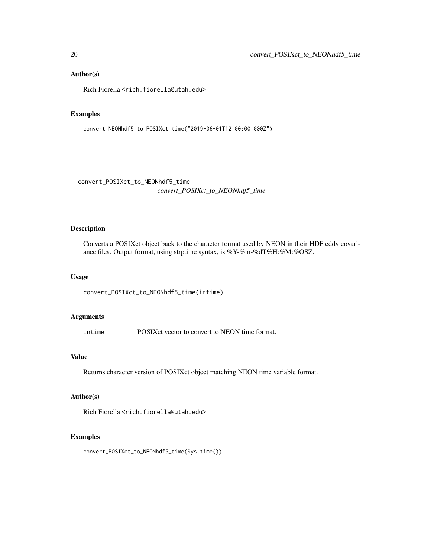#### Author(s)

Rich Fiorella <rich.fiorella@utah.edu>

#### Examples

convert\_NEONhdf5\_to\_POSIXct\_time("2019-06-01T12:00:00.000Z")

convert\_POSIXct\_to\_NEONhdf5\_time

*convert\_POSIXct\_to\_NEONhdf5\_time*

## Description

Converts a POSIXct object back to the character format used by NEON in their HDF eddy covariance files. Output format, using strptime syntax, is %Y-%m-%dT%H:%M:%OSZ.

#### Usage

convert\_POSIXct\_to\_NEONhdf5\_time(intime)

#### Arguments

intime POSIXct vector to convert to NEON time format.

#### Value

Returns character version of POSIXct object matching NEON time variable format.

#### Author(s)

Rich Fiorella <rich.fiorella@utah.edu>

#### Examples

convert\_POSIXct\_to\_NEONhdf5\_time(Sys.time())

<span id="page-19-0"></span>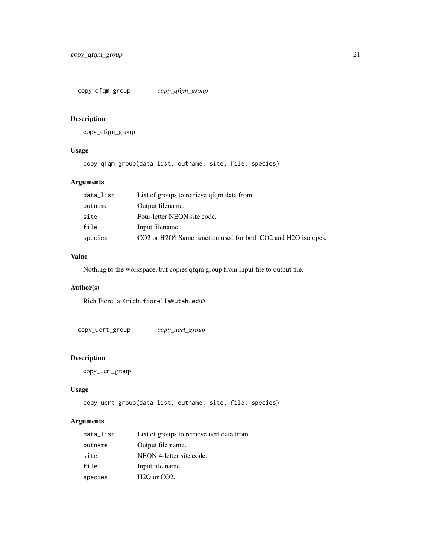<span id="page-20-0"></span>copy\_qfqm\_group *copy\_qfqm\_group*

## Description

copy\_qfqm\_group

## Usage

copy\_qfqm\_group(data\_list, outname, site, file, species)

## Arguments

| Output filename.<br>outname<br>Four-letter NEON site code.<br>site<br>file<br>Input filename.<br>species | data_list | List of groups to retrieve qfqm data from.                                                                      |
|----------------------------------------------------------------------------------------------------------|-----------|-----------------------------------------------------------------------------------------------------------------|
|                                                                                                          |           |                                                                                                                 |
|                                                                                                          |           |                                                                                                                 |
|                                                                                                          |           |                                                                                                                 |
|                                                                                                          |           | CO <sub>2</sub> or H <sub>2</sub> O? Same function used for both CO <sub>2</sub> and H <sub>2</sub> O isotopes. |

## Value

Nothing to the workspace, but copies qfqm group from input file to output file.

## Author(s)

Rich Fiorella <rich.fiorella@utah.edu>

copy\_ucrt\_group *copy\_ucrt\_group*

## Description

copy\_ucrt\_group

#### Usage

```
copy_ucrt_group(data_list, outname, site, file, species)
```

| data_list | List of groups to retrieve ucrt data from. |
|-----------|--------------------------------------------|
| outname   | Output file name.                          |
| site      | NEON 4-letter site code.                   |
| file      | Input file name.                           |
| species   | H <sub>2</sub> O or CO <sub>2</sub> .      |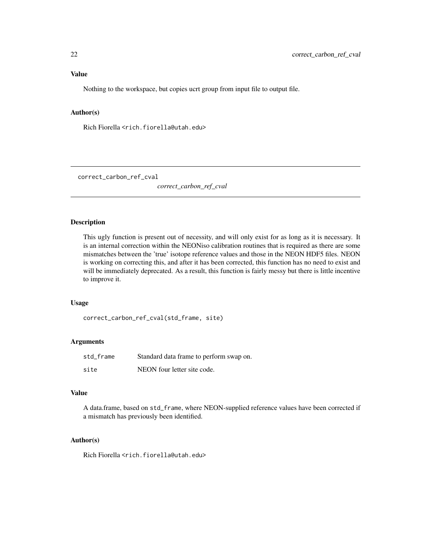## <span id="page-21-0"></span>Value

Nothing to the workspace, but copies ucrt group from input file to output file.

## Author(s)

Rich Fiorella <rich.fiorella@utah.edu>

correct\_carbon\_ref\_cval

*correct\_carbon\_ref\_cval*

#### Description

This ugly function is present out of necessity, and will only exist for as long as it is necessary. It is an internal correction within the NEONiso calibration routines that is required as there are some mismatches between the 'true' isotope reference values and those in the NEON HDF5 files. NEON is working on correcting this, and after it has been corrected, this function has no need to exist and will be immediately deprecated. As a result, this function is fairly messy but there is little incentive to improve it.

#### Usage

correct\_carbon\_ref\_cval(std\_frame, site)

#### Arguments

| std frame | Standard data frame to perform swap on. |
|-----------|-----------------------------------------|
| site      | NEON four letter site code.             |

#### Value

A data.frame, based on std\_frame, where NEON-supplied reference values have been corrected if a mismatch has previously been identified.

#### Author(s)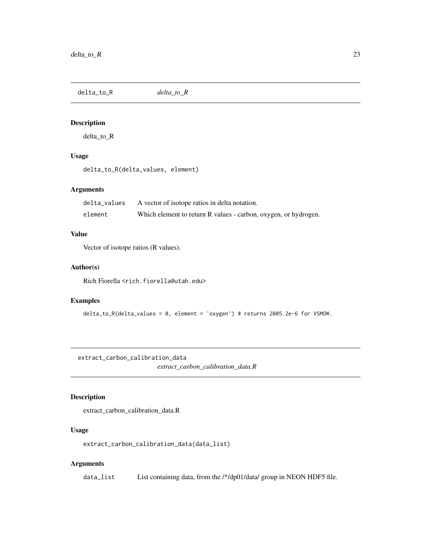<span id="page-22-0"></span>delta\_to\_R *delta\_to\_R*

## Description

delta\_to\_R

## Usage

delta\_to\_R(delta\_values, element)

## Arguments

| delta values | A vector of isotope ratios in delta notation.                   |
|--------------|-----------------------------------------------------------------|
| element      | Which element to return R values - carbon, oxygen, or hydrogen. |

## Value

Vector of isotope ratios (R values).

#### Author(s)

Rich Fiorella <rich.fiorella@utah.edu>

## Examples

delta\_to\_R(delta\_values = 0, element = 'oxygen') # returns 2005.2e-6 for VSMOW.

extract\_carbon\_calibration\_data

*extract\_carbon\_calibration\_data.R*

## Description

extract\_carbon\_calibration\_data.R

## Usage

extract\_carbon\_calibration\_data(data\_list)

## Arguments

data\_list List containing data, from the /\*/dp01/data/ group in NEON HDF5 file.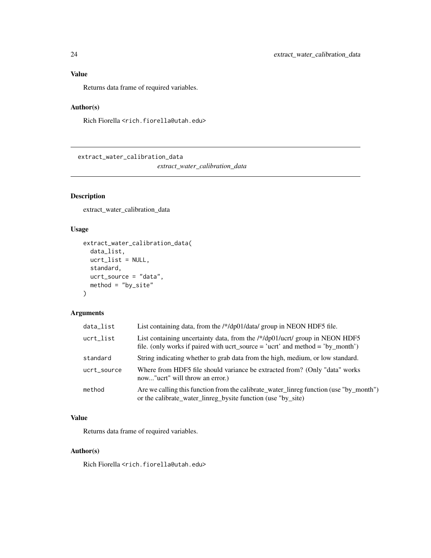## <span id="page-23-0"></span>Value

Returns data frame of required variables.

## Author(s)

Rich Fiorella <rich.fiorella@utah.edu>

extract\_water\_calibration\_data

*extract\_water\_calibration\_data*

## Description

extract\_water\_calibration\_data

### Usage

```
extract_water_calibration_data(
 data_list,
 ucrt_list = NULL,
 standard,
 ucrt_source = "data",
 method = "by_size")
```
## Arguments

| data_list   | List containing data, from the /*/dp01/data/ group in NEON HDF5 file.                                                                                          |
|-------------|----------------------------------------------------------------------------------------------------------------------------------------------------------------|
| ucrt_list   | List containing uncertainty data, from the $/*/dp01/uct/$ group in NEON HDF5<br>file. (only works if paired with ucrt_source = 'ucrt' and method = 'by_month') |
| standard    | String indicating whether to grab data from the high, medium, or low standard.                                                                                 |
| ucrt_source | Where from HDF5 file should variance be extracted from? (Only "data" works<br>now" ucrt" will throw an error.)                                                 |
| method      | Are we calling this function from the calibrate_water_linreg function (use "by_month")<br>or the calibrate_water_linreg_bysite function (use "by_site)         |

## Value

Returns data frame of required variables.

#### Author(s)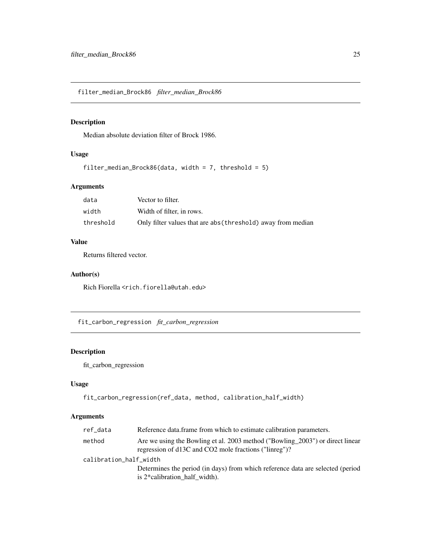<span id="page-24-0"></span>filter\_median\_Brock86 *filter\_median\_Brock86*

## Description

Median absolute deviation filter of Brock 1986.

#### Usage

```
filter_median_Brock86(data, width = 7, threshold = 5)
```
## Arguments

| data      | Vector to filter.                                            |
|-----------|--------------------------------------------------------------|
| width     | Width of filter, in rows.                                    |
| threshold | Only filter values that are abs (threshold) away from median |

#### Value

Returns filtered vector.

#### Author(s)

Rich Fiorella <rich.fiorella@utah.edu>

fit\_carbon\_regression *fit\_carbon\_regression*

## Description

fit\_carbon\_regression

## Usage

```
fit_carbon_regression(ref_data, method, calibration_half_width)
```

| ref_data               | Reference data frame from which to estimate calibration parameters.                                                                    |
|------------------------|----------------------------------------------------------------------------------------------------------------------------------------|
| method                 | Are we using the Bowling et al. 2003 method ("Bowling 2003") or direct linear<br>regression of d13C and CO2 mole fractions ("linreg")? |
| calibration_half_width |                                                                                                                                        |
|                        | Determines the period (in days) from which reference data are selected (period                                                         |
|                        | is $2*$ calibration half width).                                                                                                       |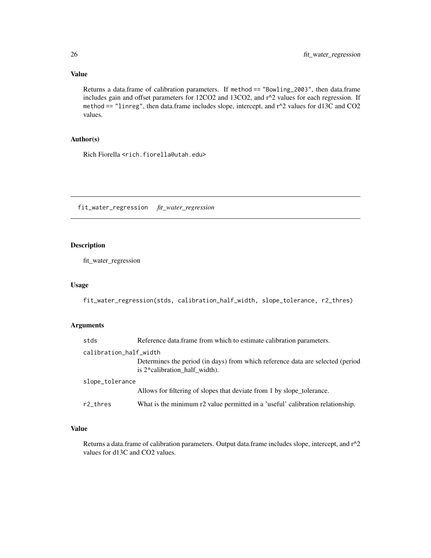## Value

Returns a data.frame of calibration parameters. If method == "Bowling\_2003", then data.frame includes gain and offset parameters for 12CO2 and 13CO2, and r^2 values for each regression. If method == "linreg", then data.frame includes slope, intercept, and  $r^2$  values for d13C and CO2 values.

## Author(s)

Rich Fiorella <rich.fiorella@utah.edu>

fit\_water\_regression *fit\_water\_regression*

## Description

fit\_water\_regression

#### Usage

fit\_water\_regression(stds, calibration\_half\_width, slope\_tolerance, r2\_thres)

## Arguments

| stds                   | Reference data.frame from which to estimate calibration parameters.                                             |
|------------------------|-----------------------------------------------------------------------------------------------------------------|
| calibration_half_width |                                                                                                                 |
|                        | Determines the period (in days) from which reference data are selected (period<br>is 2*calibration half width). |
| slope_tolerance        |                                                                                                                 |
|                        | Allows for filtering of slopes that deviate from 1 by slope tolerance.                                          |
| r2_thres               | What is the minimum r2 value permitted in a 'useful' calibration relationship.                                  |

#### Value

Returns a data.frame of calibration parameters. Output data.frame includes slope, intercept, and r^2 values for d13C and CO2 values.

<span id="page-25-0"></span>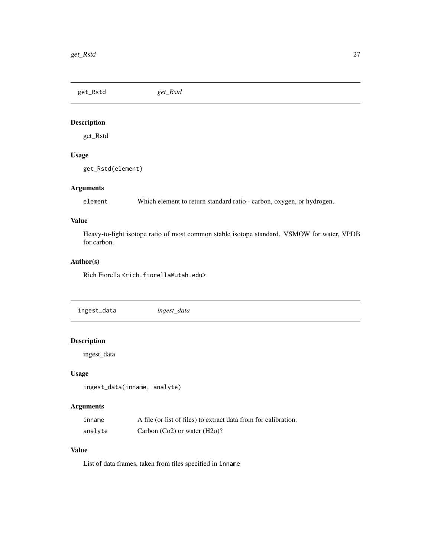<span id="page-26-0"></span>get\_Rstd *get\_Rstd*

## Description

get\_Rstd

## Usage

get\_Rstd(element)

## Arguments

element Which element to return standard ratio - carbon, oxygen, or hydrogen.

## Value

Heavy-to-light isotope ratio of most common stable isotope standard. VSMOW for water, VPDB for carbon.

#### Author(s)

Rich Fiorella <rich.fiorella@utah.edu>

ingest\_data *ingest\_data*

## Description

ingest\_data

#### Usage

```
ingest_data(inname, analyte)
```
## Arguments

| inname  | A file (or list of files) to extract data from for calibration. |
|---------|-----------------------------------------------------------------|
| analyte | Carbon $(Co2)$ or water $(H2o)$ ?                               |

## Value

List of data frames, taken from files specified in inname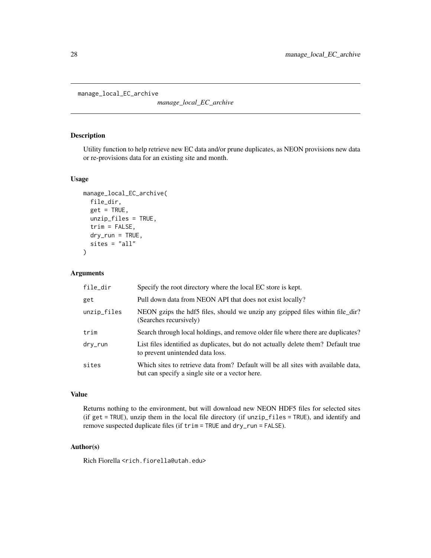<span id="page-27-0"></span>manage\_local\_EC\_archive

*manage\_local\_EC\_archive*

## Description

Utility function to help retrieve new EC data and/or prune duplicates, as NEON provisions new data or re-provisions data for an existing site and month.

#### Usage

```
manage_local_EC_archive(
  file_dir,
  get = TRUE,unzip_files = TRUE,
  trim = FALSE,
  dry_run = TRUE,sites = "all"
\mathcal{L}
```
#### Arguments

| file_dir    | Specify the root directory where the local EC store is kept.                                                                         |
|-------------|--------------------------------------------------------------------------------------------------------------------------------------|
| get         | Pull down data from NEON API that does not exist locally?                                                                            |
| unzip_files | NEON gzips the hdf5 files, should we unzip any gzipped files within file_dir?<br>(Searches recursively)                              |
| trim        | Search through local holdings, and remove older file where there are duplicates?                                                     |
| dry_run     | List files identified as duplicates, but do not actually delete them? Default true<br>to prevent unintended data loss.               |
| sites       | Which sites to retrieve data from? Default will be all sites with available data,<br>but can specify a single site or a vector here. |

#### Value

Returns nothing to the environment, but will download new NEON HDF5 files for selected sites (if get = TRUE), unzip them in the local file directory (if unzip\_files = TRUE), and identify and remove suspected duplicate files (if trim = TRUE and dry\_run = FALSE).

#### Author(s)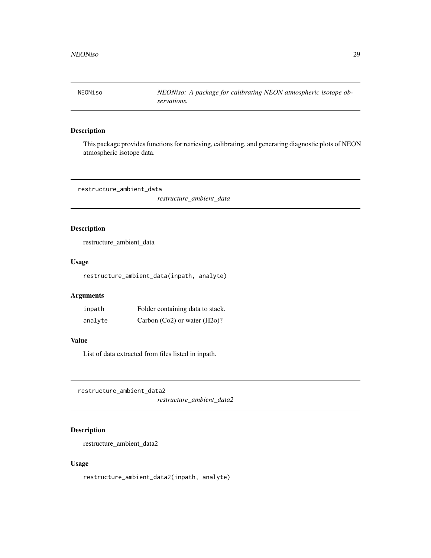<span id="page-28-0"></span>NEONiso *NEONiso: A package for calibrating NEON atmospheric isotope observations.*

## Description

This package provides functions for retrieving, calibrating, and generating diagnostic plots of NEON atmospheric isotope data.

restructure\_ambient\_data

*restructure\_ambient\_data*

## Description

restructure\_ambient\_data

#### Usage

restructure\_ambient\_data(inpath, analyte)

## Arguments

| inpath  | Folder containing data to stack.  |
|---------|-----------------------------------|
| analyte | Carbon $(Co2)$ or water $(H2o)$ ? |

#### Value

List of data extracted from files listed in inpath.

restructure\_ambient\_data2

*restructure\_ambient\_data2*

## Description

restructure\_ambient\_data2

#### Usage

restructure\_ambient\_data2(inpath, analyte)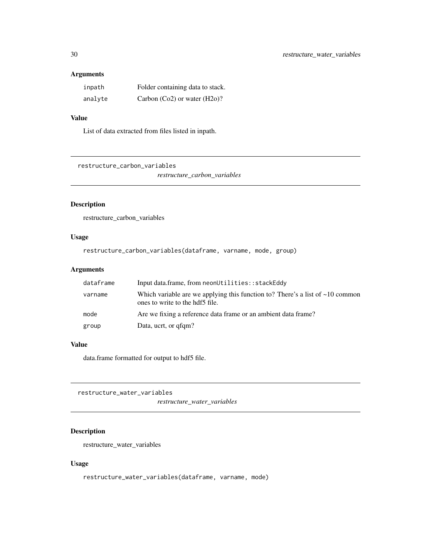#### <span id="page-29-0"></span>Arguments

| inpath  | Folder containing data to stack.  |
|---------|-----------------------------------|
| analyte | Carbon $(Co2)$ or water $(H2o)$ ? |

## Value

List of data extracted from files listed in inpath.

restructure\_carbon\_variables

*restructure\_carbon\_variables*

## Description

restructure\_carbon\_variables

## Usage

```
restructure_carbon_variables(dataframe, varname, mode, group)
```
## Arguments

| dataframe | Input data.frame, from neonUtilities::stackEddy                                                                        |
|-----------|------------------------------------------------------------------------------------------------------------------------|
| varname   | Which variable are we applying this function to? There's a list of $\sim$ 10 common<br>ones to write to the hdf5 file. |
| mode      | Are we fixing a reference data frame or an ambient data frame?                                                         |
| group     | Data, ucrt, or qfqm?                                                                                                   |

## Value

data.frame formatted for output to hdf5 file.

restructure\_water\_variables *restructure\_water\_variables*

## Description

restructure\_water\_variables

## Usage

restructure\_water\_variables(dataframe, varname, mode)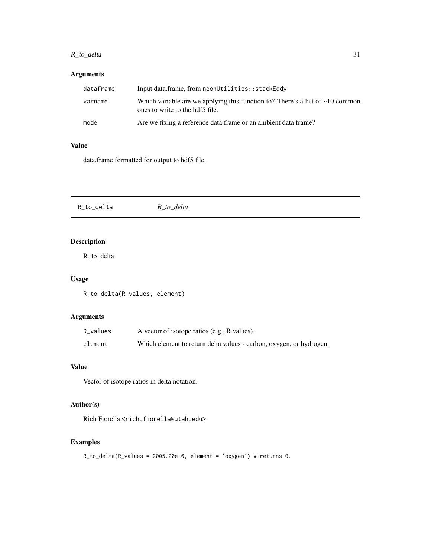## <span id="page-30-0"></span>R\_to\_delta 31

## Arguments

| dataframe | Input data.frame, from neonUtilities::stackEddy                                                                        |
|-----------|------------------------------------------------------------------------------------------------------------------------|
| varname   | Which variable are we applying this function to? There's a list of $\sim$ 10 common<br>ones to write to the hdf5 file. |
| mode      | Are we fixing a reference data frame or an ambient data frame?                                                         |

#### Value

data.frame formatted for output to hdf5 file.

| R_to_delta | R_to_delta |  |  |
|------------|------------|--|--|
|------------|------------|--|--|

## Description

R\_to\_delta

## Usage

R\_to\_delta(R\_values, element)

## Arguments

| R_values | A vector of isotope ratios (e.g., R values).                        |
|----------|---------------------------------------------------------------------|
| element  | Which element to return delta values - carbon, oxygen, or hydrogen. |

#### Value

Vector of isotope ratios in delta notation.

## Author(s)

Rich Fiorella <rich.fiorella@utah.edu>

## Examples

```
R_to_delta(R_values = 2005.20e-6, element = 'oxygen') # returns 0.
```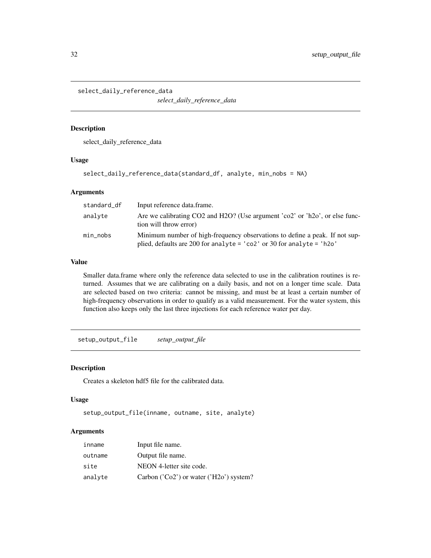<span id="page-31-0"></span>select\_daily\_reference\_data

*select\_daily\_reference\_data*

#### Description

select\_daily\_reference\_data

#### Usage

select\_daily\_reference\_data(standard\_df, analyte, min\_nobs = NA)

#### Arguments

| standard_df | Input reference data.frame.                                                                                                                                              |
|-------------|--------------------------------------------------------------------------------------------------------------------------------------------------------------------------|
| analyte     | Are we calibrating CO2 and H2O? (Use argument 'co2' or 'h2o', or else func-<br>tion will throw error)                                                                    |
| min_nobs    | Minimum number of high-frequency observations to define a peak. If not sup-<br>plied, defaults are 200 for analyte = $' \text{co2}'$ or 30 for analyte = $' \text{h2o}'$ |

#### Value

Smaller data.frame where only the reference data selected to use in the calibration routines is returned. Assumes that we are calibrating on a daily basis, and not on a longer time scale. Data are selected based on two criteria: cannot be missing, and must be at least a certain number of high-frequency observations in order to qualify as a valid measurement. For the water system, this function also keeps only the last three injections for each reference water per day.

setup\_output\_file *setup\_output\_file*

#### Description

Creates a skeleton hdf5 file for the calibrated data.

#### Usage

```
setup_output_file(inname, outname, site, analyte)
```

| inname  | Input file name.                          |
|---------|-------------------------------------------|
| outname | Output file name.                         |
| site    | NEON 4-letter site code.                  |
| analyte | Carbon $(Co2')$ or water $(H2o')$ system? |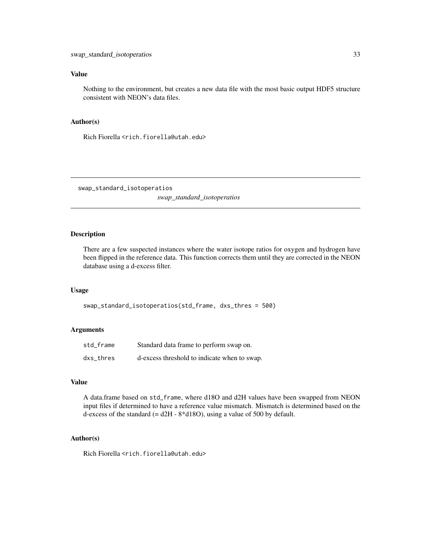#### <span id="page-32-0"></span>Value

Nothing to the environment, but creates a new data file with the most basic output HDF5 structure consistent with NEON's data files.

#### Author(s)

Rich Fiorella <rich.fiorella@utah.edu>

swap\_standard\_isotoperatios

*swap\_standard\_isotoperatios*

#### Description

There are a few suspected instances where the water isotope ratios for oxygen and hydrogen have been flipped in the reference data. This function corrects them until they are corrected in the NEON database using a d-excess filter.

#### Usage

swap\_standard\_isotoperatios(std\_frame, dxs\_thres = 500)

#### Arguments

| std frame | Standard data frame to perform swap on.      |
|-----------|----------------------------------------------|
| dxs thres | d-excess threshold to indicate when to swap. |

#### Value

A data.frame based on std\_frame, where d18O and d2H values have been swapped from NEON input files if determined to have a reference value mismatch. Mismatch is determined based on the d-excess of the standard  $(= d2H - 8 * d18O)$ , using a value of 500 by default.

#### Author(s)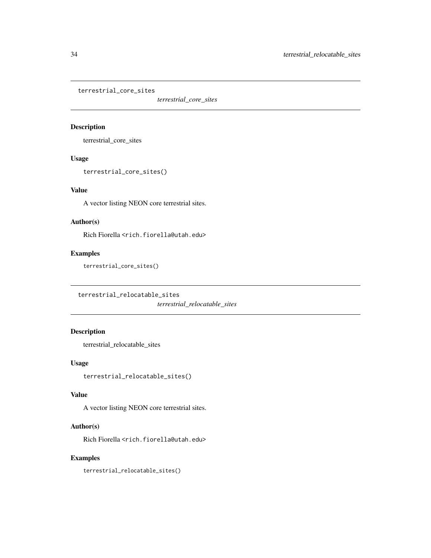<span id="page-33-0"></span>terrestrial\_core\_sites

*terrestrial\_core\_sites*

## Description

terrestrial\_core\_sites

## Usage

terrestrial\_core\_sites()

## Value

A vector listing NEON core terrestrial sites.

## Author(s)

Rich Fiorella <rich.fiorella@utah.edu>

## Examples

terrestrial\_core\_sites()

terrestrial\_relocatable\_sites

*terrestrial\_relocatable\_sites*

## Description

terrestrial\_relocatable\_sites

## Usage

terrestrial\_relocatable\_sites()

#### Value

A vector listing NEON core terrestrial sites.

## Author(s)

Rich Fiorella <rich.fiorella@utah.edu>

#### Examples

terrestrial\_relocatable\_sites()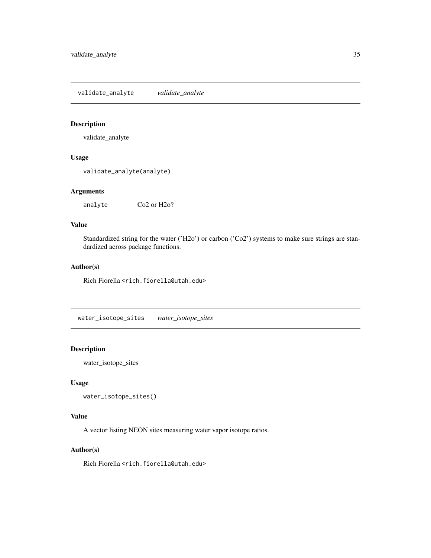<span id="page-34-0"></span>validate\_analyte *validate\_analyte*

## Description

validate\_analyte

#### Usage

```
validate_analyte(analyte)
```
## Arguments

analyte Co2 or H2o?

#### Value

Standardized string for the water ('H2o') or carbon ('Co2') systems to make sure strings are standardized across package functions.

## Author(s)

Rich Fiorella <rich.fiorella@utah.edu>

water\_isotope\_sites *water\_isotope\_sites*

## Description

water\_isotope\_sites

#### Usage

```
water_isotope_sites()
```
#### Value

A vector listing NEON sites measuring water vapor isotope ratios.

#### Author(s)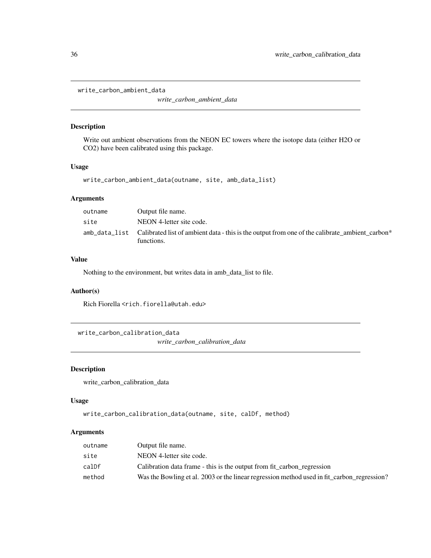```
write_carbon_ambient_data
```
*write\_carbon\_ambient\_data*

## Description

Write out ambient observations from the NEON EC towers where the isotope data (either H2O or CO2) have been calibrated using this package.

## Usage

```
write_carbon_ambient_data(outname, site, amb_data_list)
```
## Arguments

| outname | Output file name.                                                                                                          |
|---------|----------------------------------------------------------------------------------------------------------------------------|
| site    | NEON 4-letter site code.                                                                                                   |
|         | amb_data_list Calibrated list of ambient data - this is the output from one of the calibrate ambient carbon*<br>functions. |

#### Value

Nothing to the environment, but writes data in amb\_data\_list to file.

## Author(s)

Rich Fiorella <rich.fiorella@utah.edu>

write\_carbon\_calibration\_data

*write\_carbon\_calibration\_data*

#### Description

write\_carbon\_calibration\_data

#### Usage

```
write_carbon_calibration_data(outname, site, calDf, method)
```

| outname | Output file name.                                                                          |
|---------|--------------------------------------------------------------------------------------------|
| site    | NEON 4-letter site code.                                                                   |
| calDf   | Calibration data frame - this is the output from fit carbon regression                     |
| method  | Was the Bowling et al. 2003 or the linear regression method used in fit carbon regression? |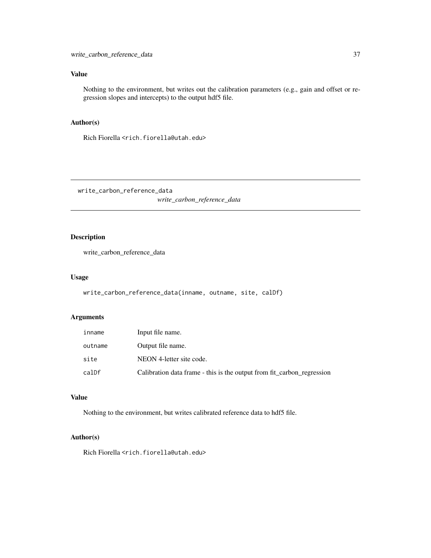## <span id="page-36-0"></span>Value

Nothing to the environment, but writes out the calibration parameters (e.g., gain and offset or regression slopes and intercepts) to the output hdf5 file.

#### Author(s)

Rich Fiorella <rich.fiorella@utah.edu>

write\_carbon\_reference\_data *write\_carbon\_reference\_data*

## Description

write\_carbon\_reference\_data

#### Usage

write\_carbon\_reference\_data(inname, outname, site, calDf)

#### Arguments

| inname  | Input file name.                                                       |
|---------|------------------------------------------------------------------------|
| outname | Output file name.                                                      |
| site    | NEON 4-letter site code.                                               |
| calDf   | Calibration data frame - this is the output from fit_carbon_regression |

## Value

Nothing to the environment, but writes calibrated reference data to hdf5 file.

#### Author(s)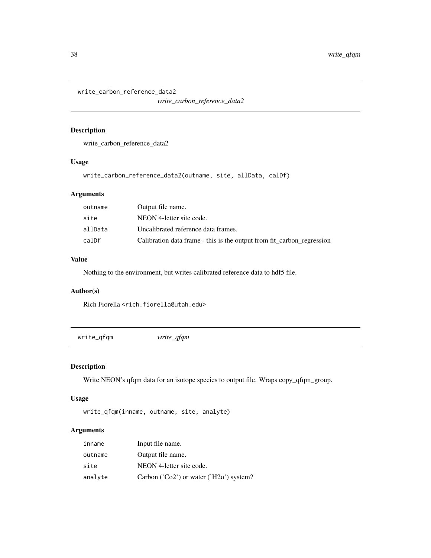<span id="page-37-0"></span>write\_carbon\_reference\_data2

*write\_carbon\_reference\_data2*

## Description

write\_carbon\_reference\_data2

## Usage

write\_carbon\_reference\_data2(outname, site, allData, calDf)

## Arguments

| outname | Output file name.                                                      |
|---------|------------------------------------------------------------------------|
| site    | NEON 4-letter site code.                                               |
| allData | Uncalibrated reference data frames.                                    |
| calDf   | Calibration data frame - this is the output from fit_carbon_regression |

## Value

Nothing to the environment, but writes calibrated reference data to hdf5 file.

## Author(s)

Rich Fiorella <rich.fiorella@utah.edu>

write\_qfqm *write\_qfqm*

## Description

Write NEON's qfqm data for an isotope species to output file. Wraps copy\_qfqm\_group.

#### Usage

```
write_qfqm(inname, outname, site, analyte)
```

| inname  | Input file name.                          |
|---------|-------------------------------------------|
| outname | Output file name.                         |
| site    | NEON 4-letter site code.                  |
| analyte | Carbon $(Co2')$ or water $(H2o')$ system? |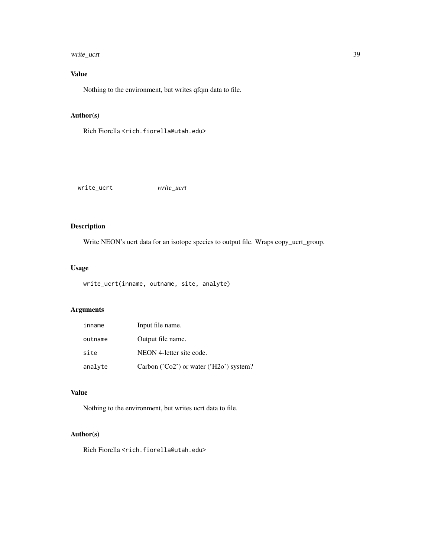## <span id="page-38-0"></span>write\_ucrt 39

## Value

Nothing to the environment, but writes qfqm data to file.

## Author(s)

Rich Fiorella <rich.fiorella@utah.edu>

| write_ucrt | ucrt<br>write<br>$-$ |  |
|------------|----------------------|--|
|            |                      |  |

## Description

Write NEON's ucrt data for an isotope species to output file. Wraps copy\_ucrt\_group.

#### Usage

```
write_ucrt(inname, outname, site, analyte)
```
## Arguments

| inname  | Input file name.                                                                          |
|---------|-------------------------------------------------------------------------------------------|
| outname | Output file name.                                                                         |
| site    | NEON 4-letter site code.                                                                  |
| analyte | Carbon ( $^{\prime}$ Co2 <sup>'</sup> ) or water ( $^{\prime}$ H2o <sup>'</sup> ) system? |

## Value

Nothing to the environment, but writes ucrt data to file.

## Author(s)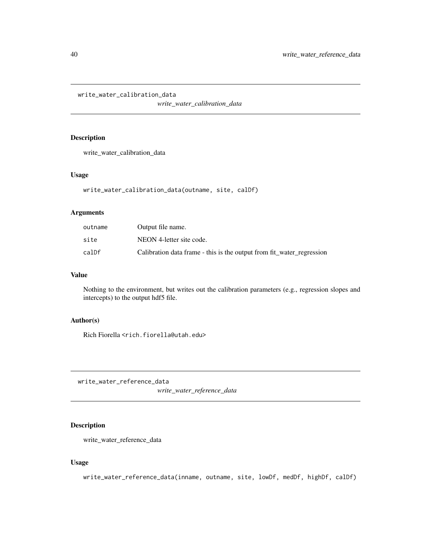<span id="page-39-0"></span>write\_water\_calibration\_data

*write\_water\_calibration\_data*

## Description

write\_water\_calibration\_data

#### Usage

write\_water\_calibration\_data(outname, site, calDf)

#### Arguments

| outname | Output file name.                                                     |
|---------|-----------------------------------------------------------------------|
| site    | NEON 4-letter site code.                                              |
| calDf   | Calibration data frame - this is the output from fit_water_regression |

#### Value

Nothing to the environment, but writes out the calibration parameters (e.g., regression slopes and intercepts) to the output hdf5 file.

#### Author(s)

Rich Fiorella <rich.fiorella@utah.edu>

write\_water\_reference\_data

*write\_water\_reference\_data*

## Description

write\_water\_reference\_data

#### Usage

write\_water\_reference\_data(inname, outname, site, lowDf, medDf, highDf, calDf)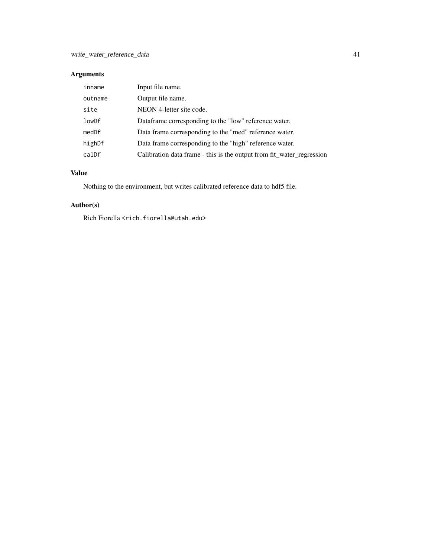## Arguments

| inname  | Input file name.                                                      |
|---------|-----------------------------------------------------------------------|
| outname | Output file name.                                                     |
| site    | NEON 4-letter site code.                                              |
| lowDf   | Dataframe corresponding to the "low" reference water.                 |
| medDf   | Data frame corresponding to the "med" reference water.                |
| highDf  | Data frame corresponding to the "high" reference water.               |
| calDf   | Calibration data frame - this is the output from fit_water_regression |

## Value

Nothing to the environment, but writes calibrated reference data to hdf5 file.

## Author(s)